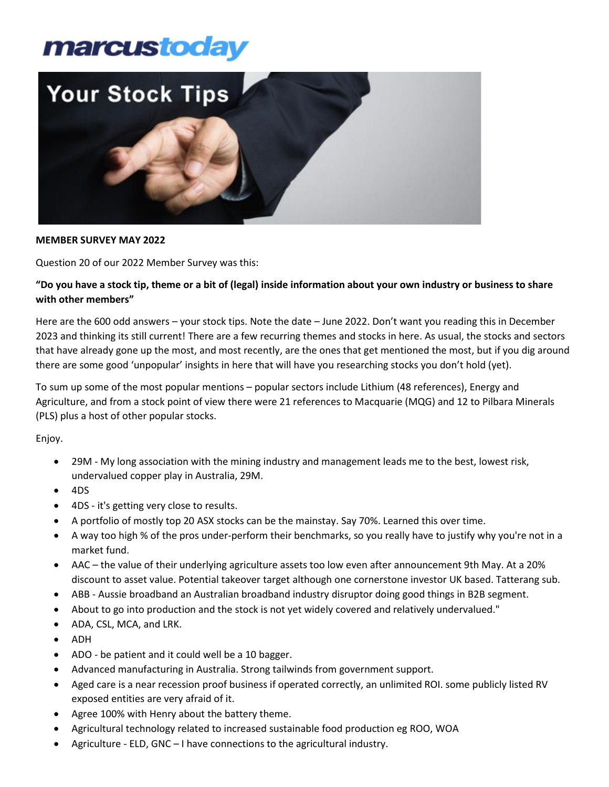## marcustoday



## **MEMBER SURVEY MAY 2022**

Question 20 of our 2022 Member Survey was this:

## **"Do you have a stock tip, theme or a bit of (legal) inside information about your own industry or business to share with other members"**

Here are the 600 odd answers – your stock tips. Note the date – June 2022. Don't want you reading this in December 2023 and thinking its still current! There are a few recurring themes and stocks in here. As usual, the stocks and sectors that have already gone up the most, and most recently, are the ones that get mentioned the most, but if you dig around there are some good 'unpopular' insights in here that will have you researching stocks you don't hold (yet).

To sum up some of the most popular mentions – popular sectors include Lithium (48 references), Energy and Agriculture, and from a stock point of view there were 21 references to Macquarie (MQG) and 12 to Pilbara Minerals (PLS) plus a host of other popular stocks.

Enjoy.

- 29M My long association with the mining industry and management leads me to the best, lowest risk, undervalued copper play in Australia, 29M.
- 4DS
- 4DS it's getting very close to results.
- A portfolio of mostly top 20 ASX stocks can be the mainstay. Say 70%. Learned this over time.
- A way too high % of the pros under-perform their benchmarks, so you really have to justify why you're not in a market fund.
- AAC the value of their underlying agriculture assets too low even after announcement 9th May. At a 20% discount to asset value. Potential takeover target although one cornerstone investor UK based. Tatterang sub.
- ABB Aussie broadband an Australian broadband industry disruptor doing good things in B2B segment.
- About to go into production and the stock is not yet widely covered and relatively undervalued."
- ADA, CSL, MCA, and LRK.
- ADH
- ADO be patient and it could well be a 10 bagger.
- Advanced manufacturing in Australia. Strong tailwinds from government support.
- Aged care is a near recession proof business if operated correctly, an unlimited ROI. some publicly listed RV exposed entities are very afraid of it.
- Agree 100% with Henry about the battery theme.
- Agricultural technology related to increased sustainable food production eg ROO, WOA
- Agriculture ELD, GNC I have connections to the agricultural industry.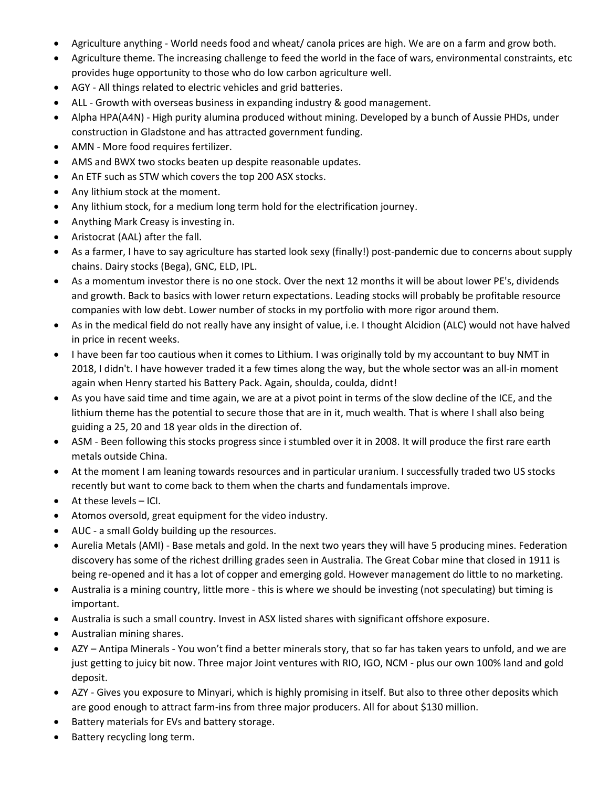- Agriculture anything World needs food and wheat/ canola prices are high. We are on a farm and grow both.
- Agriculture theme. The increasing challenge to feed the world in the face of wars, environmental constraints, etc provides huge opportunity to those who do low carbon agriculture well.
- AGY All things related to electric vehicles and grid batteries.
- ALL Growth with overseas business in expanding industry & good management.
- Alpha HPA(A4N) High purity alumina produced without mining. Developed by a bunch of Aussie PHDs, under construction in Gladstone and has attracted government funding.
- AMN More food requires fertilizer.
- AMS and BWX two stocks beaten up despite reasonable updates.
- An ETF such as STW which covers the top 200 ASX stocks.
- Any lithium stock at the moment.
- Any lithium stock, for a medium long term hold for the electrification journey.
- Anything Mark Creasy is investing in.
- Aristocrat (AAL) after the fall.
- As a farmer, I have to say agriculture has started look sexy (finally!) post-pandemic due to concerns about supply chains. Dairy stocks (Bega), GNC, ELD, IPL.
- As a momentum investor there is no one stock. Over the next 12 months it will be about lower PE's, dividends and growth. Back to basics with lower return expectations. Leading stocks will probably be profitable resource companies with low debt. Lower number of stocks in my portfolio with more rigor around them.
- As in the medical field do not really have any insight of value, i.e. I thought Alcidion (ALC) would not have halved in price in recent weeks.
- I have been far too cautious when it comes to Lithium. I was originally told by my accountant to buy NMT in 2018, I didn't. I have however traded it a few times along the way, but the whole sector was an all-in moment again when Henry started his Battery Pack. Again, shoulda, coulda, didnt!
- As you have said time and time again, we are at a pivot point in terms of the slow decline of the ICE, and the lithium theme has the potential to secure those that are in it, much wealth. That is where I shall also being guiding a 25, 20 and 18 year olds in the direction of.
- ASM Been following this stocks progress since i stumbled over it in 2008. It will produce the first rare earth metals outside China.
- At the moment I am leaning towards resources and in particular uranium. I successfully traded two US stocks recently but want to come back to them when the charts and fundamentals improve.
- At these levels ICI.
- Atomos oversold, great equipment for the video industry.
- AUC a small Goldy building up the resources.
- Aurelia Metals (AMI) Base metals and gold. In the next two years they will have 5 producing mines. Federation discovery has some of the richest drilling grades seen in Australia. The Great Cobar mine that closed in 1911 is being re-opened and it has a lot of copper and emerging gold. However management do little to no marketing.
- Australia is a mining country, little more this is where we should be investing (not speculating) but timing is important.
- Australia is such a small country. Invest in ASX listed shares with significant offshore exposure.
- Australian mining shares.
- AZY Antipa Minerals You won't find a better minerals story, that so far has taken years to unfold, and we are just getting to juicy bit now. Three major Joint ventures with RIO, IGO, NCM - plus our own 100% land and gold deposit.
- AZY Gives you exposure to Minyari, which is highly promising in itself. But also to three other deposits which are good enough to attract farm-ins from three major producers. All for about \$130 million.
- Battery materials for EVs and battery storage.
- Battery recycling long term.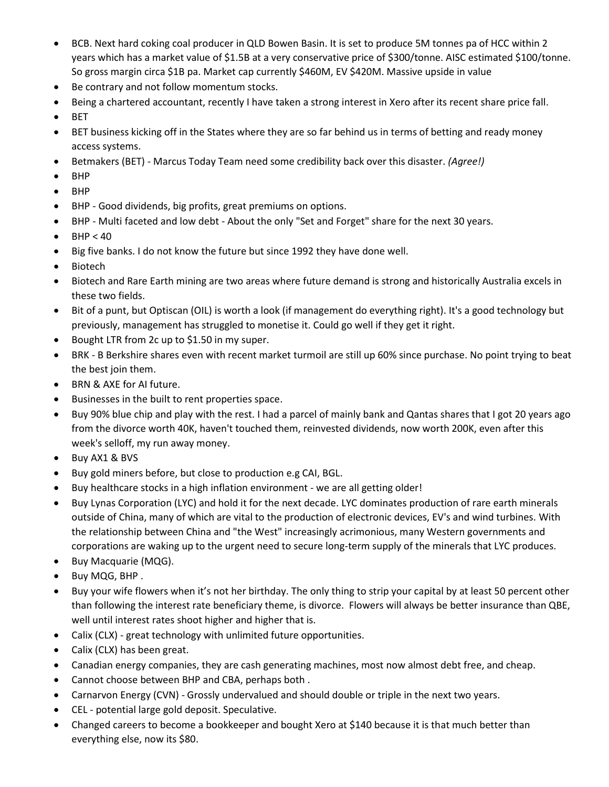- BCB. Next hard coking coal producer in QLD Bowen Basin. It is set to produce 5M tonnes pa of HCC within 2 years which has a market value of \$1.5B at a very conservative price of \$300/tonne. AISC estimated \$100/tonne. So gross margin circa \$1B pa. Market cap currently \$460M, EV \$420M. Massive upside in value
- Be contrary and not follow momentum stocks.
- Being a chartered accountant, recently I have taken a strong interest in Xero after its recent share price fall.
- BET
- BET business kicking off in the States where they are so far behind us in terms of betting and ready money access systems.
- Betmakers (BET) Marcus Today Team need some credibility back over this disaster. *(Agree!)*
- BHP
- BHP
- BHP Good dividends, big profits, great premiums on options.
- BHP Multi faceted and low debt About the only "Set and Forget" share for the next 30 years.
- $\bullet$  BHP < 40
- Big five banks. I do not know the future but since 1992 they have done well.
- Biotech
- Biotech and Rare Earth mining are two areas where future demand is strong and historically Australia excels in these two fields.
- Bit of a punt, but Optiscan (OIL) is worth a look (if management do everything right). It's a good technology but previously, management has struggled to monetise it. Could go well if they get it right.
- Bought LTR from 2c up to \$1.50 in my super.
- BRK B Berkshire shares even with recent market turmoil are still up 60% since purchase. No point trying to beat the best join them.
- BRN & AXE for AI future.
- Businesses in the built to rent properties space.
- Buy 90% blue chip and play with the rest. I had a parcel of mainly bank and Qantas shares that I got 20 years ago from the divorce worth 40K, haven't touched them, reinvested dividends, now worth 200K, even after this week's selloff, my run away money.
- Buy AX1 & BVS
- Buy gold miners before, but close to production e.g CAI, BGL.
- Buy healthcare stocks in a high inflation environment we are all getting older!
- Buy Lynas Corporation (LYC) and hold it for the next decade. LYC dominates production of rare earth minerals outside of China, many of which are vital to the production of electronic devices, EV's and wind turbines. With the relationship between China and "the West" increasingly acrimonious, many Western governments and corporations are waking up to the urgent need to secure long-term supply of the minerals that LYC produces.
- Buy Macquarie (MQG).
- Buy MQG, BHP .
- Buy your wife flowers when it's not her birthday. The only thing to strip your capital by at least 50 percent other than following the interest rate beneficiary theme, is divorce. Flowers will always be better insurance than QBE, well until interest rates shoot higher and higher that is.
- Calix (CLX) great technology with unlimited future opportunities.
- Calix (CLX) has been great.
- Canadian energy companies, they are cash generating machines, most now almost debt free, and cheap.
- Cannot choose between BHP and CBA, perhaps both .
- Carnarvon Energy (CVN) Grossly undervalued and should double or triple in the next two years.
- CEL potential large gold deposit. Speculative.
- Changed careers to become a bookkeeper and bought Xero at \$140 because it is that much better than everything else, now its \$80.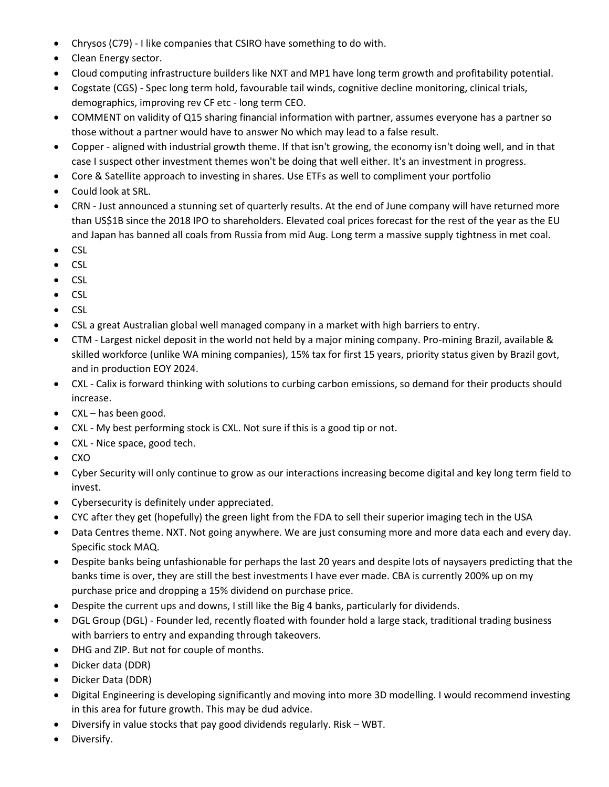- Chrysos (C79) I like companies that CSIRO have something to do with.
- Clean Energy sector.
- Cloud computing infrastructure builders like NXT and MP1 have long term growth and profitability potential.
- Cogstate (CGS) Spec long term hold, favourable tail winds, cognitive decline monitoring, clinical trials, demographics, improving rev CF etc - long term CEO.
- COMMENT on validity of Q15 sharing financial information with partner, assumes everyone has a partner so those without a partner would have to answer No which may lead to a false result.
- Copper aligned with industrial growth theme. If that isn't growing, the economy isn't doing well, and in that case I suspect other investment themes won't be doing that well either. It's an investment in progress.
- Core & Satellite approach to investing in shares. Use ETFs as well to compliment your portfolio
- Could look at SRL.
- CRN Just announced a stunning set of quarterly results. At the end of June company will have returned more than US\$1B since the 2018 IPO to shareholders. Elevated coal prices forecast for the rest of the year as the EU and Japan has banned all coals from Russia from mid Aug. Long term a massive supply tightness in met coal.
- CSL
- CSL
- CSL
- CSL
- CSL
- CSL a great Australian global well managed company in a market with high barriers to entry.
- CTM Largest nickel deposit in the world not held by a major mining company. Pro-mining Brazil, available & skilled workforce (unlike WA mining companies), 15% tax for first 15 years, priority status given by Brazil govt, and in production EOY 2024.
- CXL Calix is forward thinking with solutions to curbing carbon emissions, so demand for their products should increase.
- CXL has been good.
- CXL My best performing stock is CXL. Not sure if this is a good tip or not.
- CXL Nice space, good tech.
- CXO
- Cyber Security will only continue to grow as our interactions increasing become digital and key long term field to invest.
- Cybersecurity is definitely under appreciated.
- CYC after they get (hopefully) the green light from the FDA to sell their superior imaging tech in the USA
- Data Centres theme. NXT. Not going anywhere. We are just consuming more and more data each and every day. Specific stock MAQ.
- Despite banks being unfashionable for perhaps the last 20 years and despite lots of naysayers predicting that the banks time is over, they are still the best investments I have ever made. CBA is currently 200% up on my purchase price and dropping a 15% dividend on purchase price.
- Despite the current ups and downs, I still like the Big 4 banks, particularly for dividends.
- DGL Group (DGL) Founder led, recently floated with founder hold a large stack, traditional trading business with barriers to entry and expanding through takeovers.
- DHG and ZIP. But not for couple of months.
- Dicker data (DDR)
- Dicker Data (DDR)
- Digital Engineering is developing significantly and moving into more 3D modelling. I would recommend investing in this area for future growth. This may be dud advice.
- Diversify in value stocks that pay good dividends regularly. Risk WBT.
- Diversify.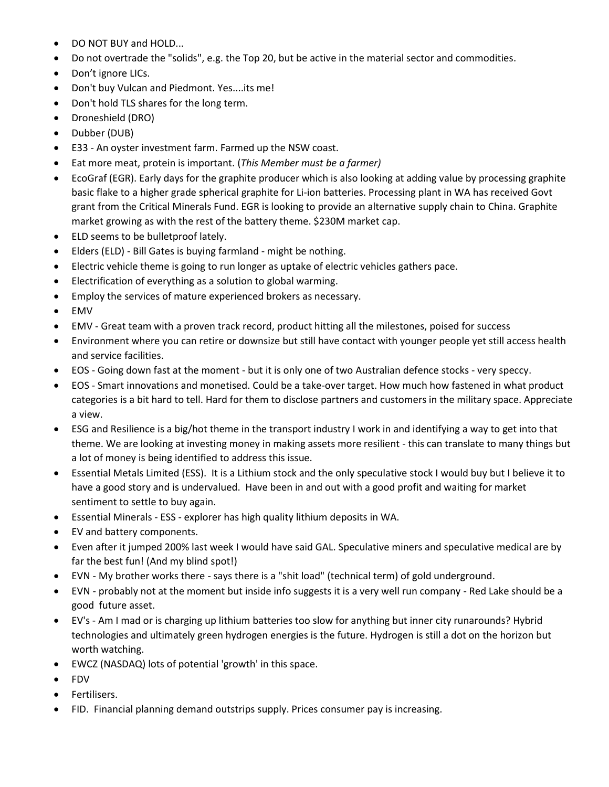- DO NOT BUY and HOLD...
- Do not overtrade the "solids", e.g. the Top 20, but be active in the material sector and commodities.
- Don't ignore LICs.
- Don't buy Vulcan and Piedmont. Yes....its me!
- Don't hold TLS shares for the long term.
- Droneshield (DRO)
- Dubber (DUB)
- E33 An oyster investment farm. Farmed up the NSW coast.
- Eat more meat, protein is important. (*This Member must be a farmer)*
- EcoGraf (EGR). Early days for the graphite producer which is also looking at adding value by processing graphite basic flake to a higher grade spherical graphite for Li-ion batteries. Processing plant in WA has received Govt grant from the Critical Minerals Fund. EGR is looking to provide an alternative supply chain to China. Graphite market growing as with the rest of the battery theme. \$230M market cap.
- ELD seems to be bulletproof lately.
- Elders (ELD) Bill Gates is buying farmland might be nothing.
- Electric vehicle theme is going to run longer as uptake of electric vehicles gathers pace.
- Electrification of everything as a solution to global warming.
- Employ the services of mature experienced brokers as necessary.
- EMV
- EMV Great team with a proven track record, product hitting all the milestones, poised for success
- Environment where you can retire or downsize but still have contact with younger people yet still access health and service facilities.
- EOS Going down fast at the moment but it is only one of two Australian defence stocks very speccy.
- EOS Smart innovations and monetised. Could be a take-over target. How much how fastened in what product categories is a bit hard to tell. Hard for them to disclose partners and customers in the military space. Appreciate a view.
- ESG and Resilience is a big/hot theme in the transport industry I work in and identifying a way to get into that theme. We are looking at investing money in making assets more resilient - this can translate to many things but a lot of money is being identified to address this issue.
- Essential Metals Limited (ESS). It is a Lithium stock and the only speculative stock I would buy but I believe it to have a good story and is undervalued. Have been in and out with a good profit and waiting for market sentiment to settle to buy again.
- Essential Minerals ESS explorer has high quality lithium deposits in WA.
- EV and battery components.
- Even after it jumped 200% last week I would have said GAL. Speculative miners and speculative medical are by far the best fun! (And my blind spot!)
- EVN My brother works there says there is a "shit load" (technical term) of gold underground.
- EVN probably not at the moment but inside info suggests it is a very well run company Red Lake should be a good future asset.
- EV's Am I mad or is charging up lithium batteries too slow for anything but inner city runarounds? Hybrid technologies and ultimately green hydrogen energies is the future. Hydrogen is still a dot on the horizon but worth watching.
- EWCZ (NASDAQ) lots of potential 'growth' in this space.
- FDV
- Fertilisers.
- FID. Financial planning demand outstrips supply. Prices consumer pay is increasing.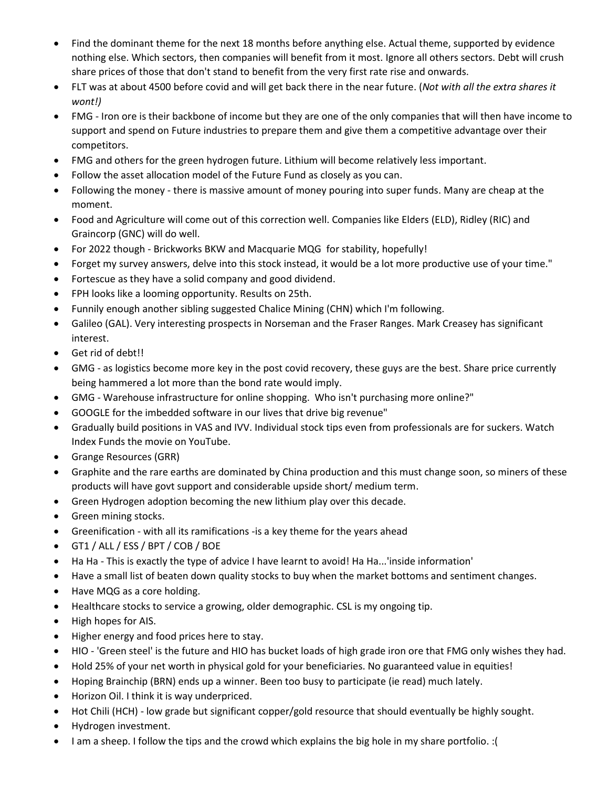- Find the dominant theme for the next 18 months before anything else. Actual theme, supported by evidence nothing else. Which sectors, then companies will benefit from it most. Ignore all others sectors. Debt will crush share prices of those that don't stand to benefit from the very first rate rise and onwards.
- FLT was at about 4500 before covid and will get back there in the near future. (*Not with all the extra shares it wont!)*
- FMG Iron ore is their backbone of income but they are one of the only companies that will then have income to support and spend on Future industries to prepare them and give them a competitive advantage over their competitors.
- FMG and others for the green hydrogen future. Lithium will become relatively less important.
- Follow the asset allocation model of the Future Fund as closely as you can.
- Following the money there is massive amount of money pouring into super funds. Many are cheap at the moment.
- Food and Agriculture will come out of this correction well. Companies like Elders (ELD), Ridley (RIC) and Graincorp (GNC) will do well.
- For 2022 though Brickworks BKW and Macquarie MQG for stability, hopefully!
- Forget my survey answers, delve into this stock instead, it would be a lot more productive use of your time."
- Fortescue as they have a solid company and good dividend.
- FPH looks like a looming opportunity. Results on 25th.
- Funnily enough another sibling suggested Chalice Mining (CHN) which I'm following.
- Galileo (GAL). Very interesting prospects in Norseman and the Fraser Ranges. Mark Creasey has significant interest.
- Get rid of debt!!
- GMG as logistics become more key in the post covid recovery, these guys are the best. Share price currently being hammered a lot more than the bond rate would imply.
- GMG Warehouse infrastructure for online shopping. Who isn't purchasing more online?"
- GOOGLE for the imbedded software in our lives that drive big revenue"
- Gradually build positions in VAS and IVV. Individual stock tips even from professionals are for suckers. Watch Index Funds the movie on YouTube.
- Grange Resources (GRR)
- Graphite and the rare earths are dominated by China production and this must change soon, so miners of these products will have govt support and considerable upside short/ medium term.
- Green Hydrogen adoption becoming the new lithium play over this decade.
- Green mining stocks.
- Greenification with all its ramifications -is a key theme for the years ahead
- GT1 / ALL / ESS / BPT / COB / BOE
- Ha Ha This is exactly the type of advice I have learnt to avoid! Ha Ha...'inside information'
- Have a small list of beaten down quality stocks to buy when the market bottoms and sentiment changes.
- Have MQG as a core holding.
- Healthcare stocks to service a growing, older demographic. CSL is my ongoing tip.
- High hopes for AIS.
- Higher energy and food prices here to stay.
- HIO 'Green steel' is the future and HIO has bucket loads of high grade iron ore that FMG only wishes they had.
- Hold 25% of your net worth in physical gold for your beneficiaries. No guaranteed value in equities!
- Hoping Brainchip (BRN) ends up a winner. Been too busy to participate (ie read) much lately.
- Horizon Oil. I think it is way underpriced.
- Hot Chili (HCH) low grade but significant copper/gold resource that should eventually be highly sought.
- Hydrogen investment.
- I am a sheep. I follow the tips and the crowd which explains the big hole in my share portfolio. :(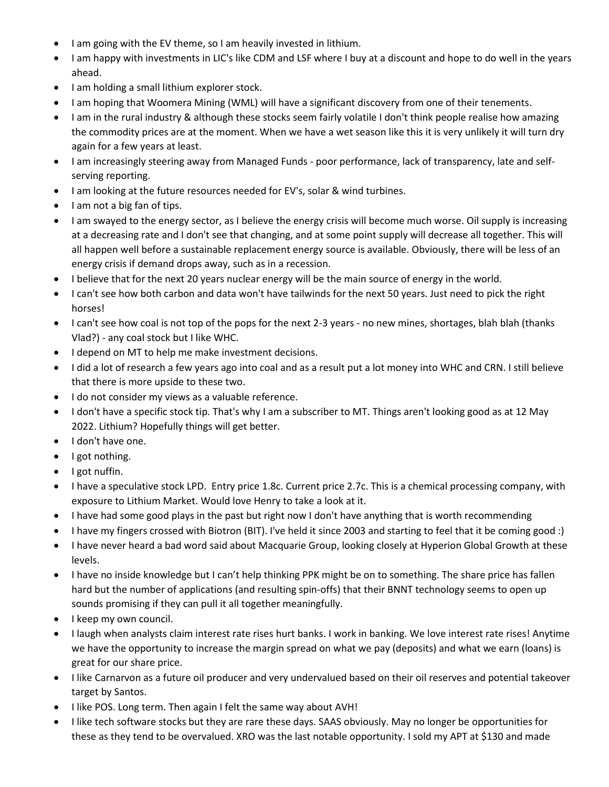- I am going with the EV theme, so I am heavily invested in lithium.
- I am happy with investments in LIC's like CDM and LSF where I buy at a discount and hope to do well in the years ahead.
- I am holding a small lithium explorer stock.
- I am hoping that Woomera Mining (WML) will have a significant discovery from one of their tenements.
- I am in the rural industry & although these stocks seem fairly volatile I don't think people realise how amazing the commodity prices are at the moment. When we have a wet season like this it is very unlikely it will turn dry again for a few years at least.
- I am increasingly steering away from Managed Funds poor performance, lack of transparency, late and selfserving reporting.
- I am looking at the future resources needed for EV's, solar & wind turbines.
- I am not a big fan of tips.
- I am swayed to the energy sector, as I believe the energy crisis will become much worse. Oil supply is increasing at a decreasing rate and I don't see that changing, and at some point supply will decrease all together. This will all happen well before a sustainable replacement energy source is available. Obviously, there will be less of an energy crisis if demand drops away, such as in a recession.
- I believe that for the next 20 years nuclear energy will be the main source of energy in the world.
- I can't see how both carbon and data won't have tailwinds for the next 50 years. Just need to pick the right horses!
- I can't see how coal is not top of the pops for the next 2-3 years no new mines, shortages, blah blah (thanks Vlad?) - any coal stock but I like WHC.
- I depend on MT to help me make investment decisions.
- I did a lot of research a few years ago into coal and as a result put a lot money into WHC and CRN. I still believe that there is more upside to these two.
- I do not consider my views as a valuable reference.
- I don't have a specific stock tip. That's why I am a subscriber to MT. Things aren't looking good as at 12 May 2022. Lithium? Hopefully things will get better.
- I don't have one.
- I got nothing.
- I got nuffin.
- I have a speculative stock LPD. Entry price 1.8c. Current price 2.7c. This is a chemical processing company, with exposure to Lithium Market. Would love Henry to take a look at it.
- I have had some good plays in the past but right now I don't have anything that is worth recommending
- I have my fingers crossed with Biotron (BIT). I've held it since 2003 and starting to feel that it be coming good :)
- I have never heard a bad word said about Macquarie Group, looking closely at Hyperion Global Growth at these levels.
- I have no inside knowledge but I can't help thinking PPK might be on to something. The share price has fallen hard but the number of applications (and resulting spin-offs) that their BNNT technology seems to open up sounds promising if they can pull it all together meaningfully.
- I keep my own council.
- I laugh when analysts claim interest rate rises hurt banks. I work in banking. We love interest rate rises! Anytime we have the opportunity to increase the margin spread on what we pay (deposits) and what we earn (loans) is great for our share price.
- I like Carnarvon as a future oil producer and very undervalued based on their oil reserves and potential takeover target by Santos.
- I like POS. Long term. Then again I felt the same way about AVH!
- I like tech software stocks but they are rare these days. SAAS obviously. May no longer be opportunities for these as they tend to be overvalued. XRO was the last notable opportunity. I sold my APT at \$130 and made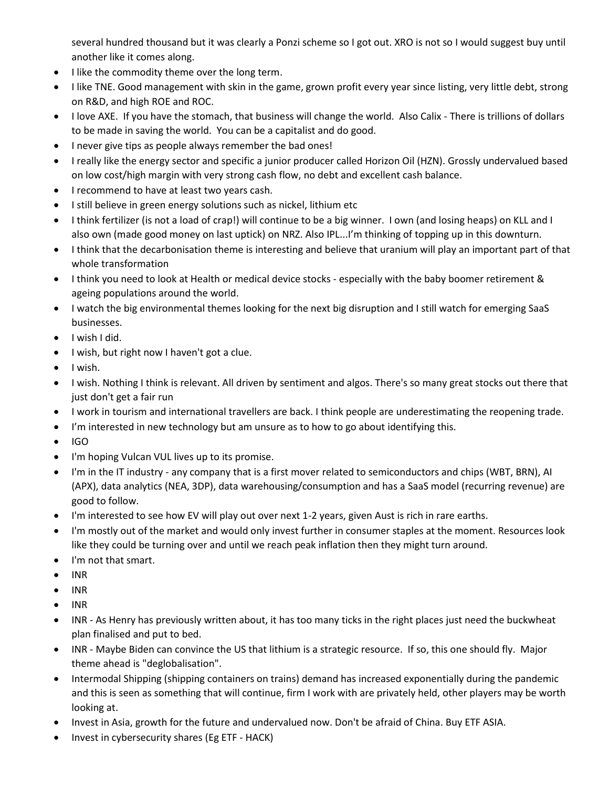several hundred thousand but it was clearly a Ponzi scheme so I got out. XRO is not so I would suggest buy until another like it comes along.

- I like the commodity theme over the long term.
- I like TNE. Good management with skin in the game, grown profit every year since listing, very little debt, strong on R&D, and high ROE and ROC.
- I love AXE. If you have the stomach, that business will change the world. Also Calix There is trillions of dollars to be made in saving the world. You can be a capitalist and do good.
- I never give tips as people always remember the bad ones!
- I really like the energy sector and specific a junior producer called Horizon Oil (HZN). Grossly undervalued based on low cost/high margin with very strong cash flow, no debt and excellent cash balance.
- I recommend to have at least two years cash.
- I still believe in green energy solutions such as nickel, lithium etc
- I think fertilizer (is not a load of crap!) will continue to be a big winner. I own (and losing heaps) on KLL and I also own (made good money on last uptick) on NRZ. Also IPL...I'm thinking of topping up in this downturn.
- I think that the decarbonisation theme is interesting and believe that uranium will play an important part of that whole transformation
- I think you need to look at Health or medical device stocks especially with the baby boomer retirement & ageing populations around the world.
- I watch the big environmental themes looking for the next big disruption and I still watch for emerging SaaS businesses.
- I wish I did.
- I wish, but right now I haven't got a clue.
- I wish.
- I wish. Nothing I think is relevant. All driven by sentiment and algos. There's so many great stocks out there that just don't get a fair run
- I work in tourism and international travellers are back. I think people are underestimating the reopening trade.
- I'm interested in new technology but am unsure as to how to go about identifying this.
- IGO
- I'm hoping Vulcan VUL lives up to its promise.
- I'm in the IT industry any company that is a first mover related to semiconductors and chips (WBT, BRN), AI (APX), data analytics (NEA, 3DP), data warehousing/consumption and has a SaaS model (recurring revenue) are good to follow.
- I'm interested to see how EV will play out over next 1-2 years, given Aust is rich in rare earths.
- I'm mostly out of the market and would only invest further in consumer staples at the moment. Resources look like they could be turning over and until we reach peak inflation then they might turn around.
- I'm not that smart.
- INR
- INR
- INR
- INR As Henry has previously written about, it has too many ticks in the right places just need the buckwheat plan finalised and put to bed.
- INR Maybe Biden can convince the US that lithium is a strategic resource. If so, this one should fly. Major theme ahead is "deglobalisation".
- Intermodal Shipping (shipping containers on trains) demand has increased exponentially during the pandemic and this is seen as something that will continue, firm I work with are privately held, other players may be worth looking at.
- Invest in Asia, growth for the future and undervalued now. Don't be afraid of China. Buy ETF ASIA.
- Invest in cybersecurity shares (Eg ETF HACK)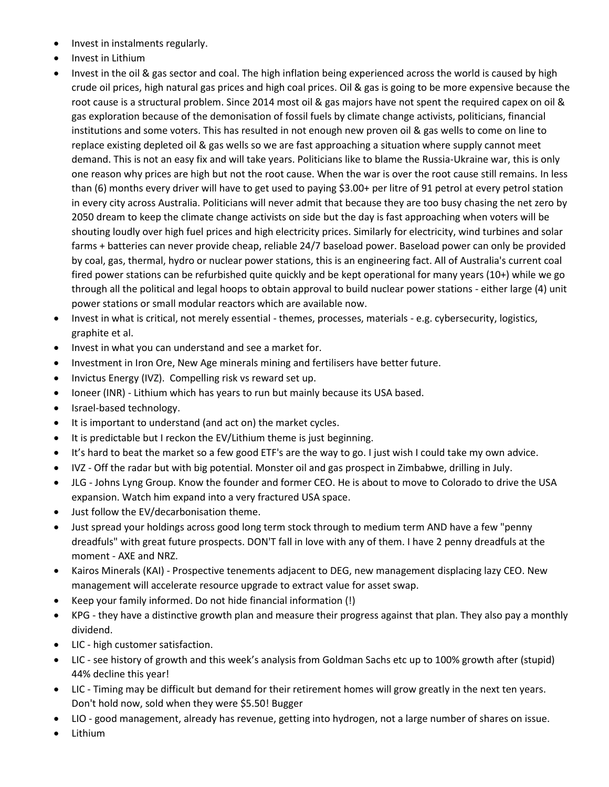- Invest in instalments regularly.
- Invest in Lithium
- Invest in the oil & gas sector and coal. The high inflation being experienced across the world is caused by high crude oil prices, high natural gas prices and high coal prices. Oil & gas is going to be more expensive because the root cause is a structural problem. Since 2014 most oil & gas majors have not spent the required capex on oil & gas exploration because of the demonisation of fossil fuels by climate change activists, politicians, financial institutions and some voters. This has resulted in not enough new proven oil & gas wells to come on line to replace existing depleted oil & gas wells so we are fast approaching a situation where supply cannot meet demand. This is not an easy fix and will take years. Politicians like to blame the Russia-Ukraine war, this is only one reason why prices are high but not the root cause. When the war is over the root cause still remains. In less than (6) months every driver will have to get used to paying \$3.00+ per litre of 91 petrol at every petrol station in every city across Australia. Politicians will never admit that because they are too busy chasing the net zero by 2050 dream to keep the climate change activists on side but the day is fast approaching when voters will be shouting loudly over high fuel prices and high electricity prices. Similarly for electricity, wind turbines and solar farms + batteries can never provide cheap, reliable 24/7 baseload power. Baseload power can only be provided by coal, gas, thermal, hydro or nuclear power stations, this is an engineering fact. All of Australia's current coal fired power stations can be refurbished quite quickly and be kept operational for many years (10+) while we go through all the political and legal hoops to obtain approval to build nuclear power stations - either large (4) unit power stations or small modular reactors which are available now.
- Invest in what is critical, not merely essential themes, processes, materials e.g. cybersecurity, logistics, graphite et al.
- Invest in what you can understand and see a market for.
- Investment in Iron Ore, New Age minerals mining and fertilisers have better future.
- Invictus Energy (IVZ). Compelling risk vs reward set up.
- Ioneer (INR) Lithium which has years to run but mainly because its USA based.
- Israel-based technology.
- It is important to understand (and act on) the market cycles.
- It is predictable but I reckon the EV/Lithium theme is just beginning.
- It's hard to beat the market so a few good ETF's are the way to go. I just wish I could take my own advice.
- IVZ Off the radar but with big potential. Monster oil and gas prospect in Zimbabwe, drilling in July.
- JLG Johns Lyng Group. Know the founder and former CEO. He is about to move to Colorado to drive the USA expansion. Watch him expand into a very fractured USA space.
- Just follow the EV/decarbonisation theme.
- Just spread your holdings across good long term stock through to medium term AND have a few "penny dreadfuls" with great future prospects. DON'T fall in love with any of them. I have 2 penny dreadfuls at the moment - AXE and NRZ.
- Kairos Minerals (KAI) Prospective tenements adjacent to DEG, new management displacing lazy CEO. New management will accelerate resource upgrade to extract value for asset swap.
- Keep your family informed. Do not hide financial information (!)
- KPG they have a distinctive growth plan and measure their progress against that plan. They also pay a monthly dividend.
- LIC high customer satisfaction.
- LIC see history of growth and this week's analysis from Goldman Sachs etc up to 100% growth after (stupid) 44% decline this year!
- LIC Timing may be difficult but demand for their retirement homes will grow greatly in the next ten years. Don't hold now, sold when they were \$5.50! Bugger
- LIO good management, already has revenue, getting into hydrogen, not a large number of shares on issue.
- Lithium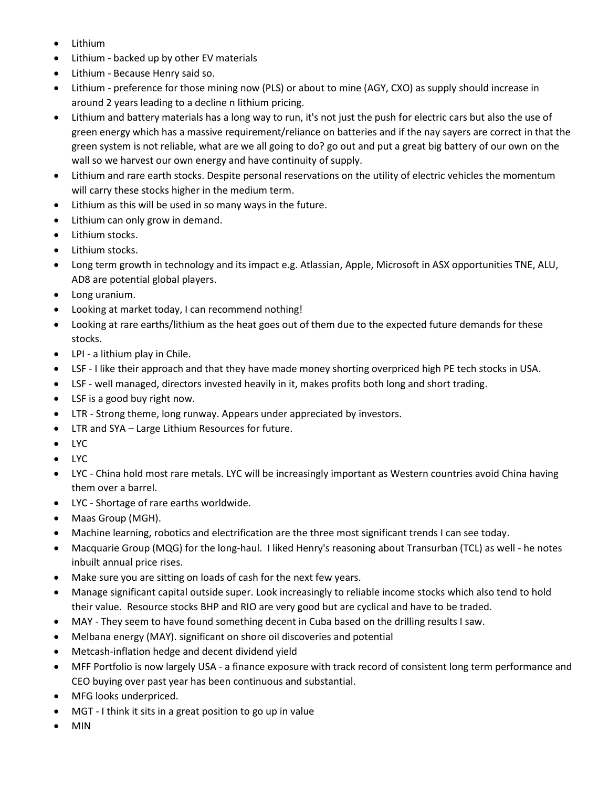- Lithium
- Lithium backed up by other EV materials
- Lithium Because Henry said so.
- Lithium preference for those mining now (PLS) or about to mine (AGY, CXO) as supply should increase in around 2 years leading to a decline n lithium pricing.
- Lithium and battery materials has a long way to run, it's not just the push for electric cars but also the use of green energy which has a massive requirement/reliance on batteries and if the nay sayers are correct in that the green system is not reliable, what are we all going to do? go out and put a great big battery of our own on the wall so we harvest our own energy and have continuity of supply.
- Lithium and rare earth stocks. Despite personal reservations on the utility of electric vehicles the momentum will carry these stocks higher in the medium term.
- Lithium as this will be used in so many ways in the future.
- Lithium can only grow in demand.
- Lithium stocks.
- Lithium stocks.
- Long term growth in technology and its impact e.g. Atlassian, Apple, Microsoft in ASX opportunities TNE, ALU, AD8 are potential global players.
- Long uranium.
- Looking at market today, I can recommend nothing!
- Looking at rare earths/lithium as the heat goes out of them due to the expected future demands for these stocks.
- LPI a lithium play in Chile.
- LSF I like their approach and that they have made money shorting overpriced high PE tech stocks in USA.
- LSF well managed, directors invested heavily in it, makes profits both long and short trading.
- LSF is a good buy right now.
- LTR Strong theme, long runway. Appears under appreciated by investors.
- LTR and SYA Large Lithium Resources for future.
- LYC
- LYC
- LYC China hold most rare metals. LYC will be increasingly important as Western countries avoid China having them over a barrel.
- LYC Shortage of rare earths worldwide.
- Maas Group (MGH).
- Machine learning, robotics and electrification are the three most significant trends I can see today.
- Macquarie Group (MQG) for the long-haul. I liked Henry's reasoning about Transurban (TCL) as well he notes inbuilt annual price rises.
- Make sure you are sitting on loads of cash for the next few years.
- Manage significant capital outside super. Look increasingly to reliable income stocks which also tend to hold their value. Resource stocks BHP and RIO are very good but are cyclical and have to be traded.
- MAY They seem to have found something decent in Cuba based on the drilling results I saw.
- Melbana energy (MAY). significant on shore oil discoveries and potential
- Metcash-inflation hedge and decent dividend yield
- MFF Portfolio is now largely USA a finance exposure with track record of consistent long term performance and CEO buying over past year has been continuous and substantial.
- MFG looks underpriced.
- MGT I think it sits in a great position to go up in value
- MIN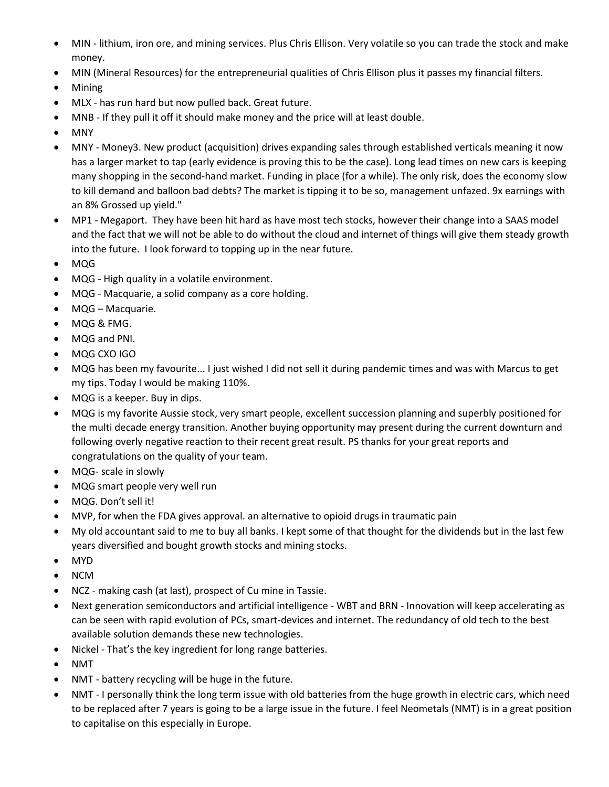- MIN lithium, iron ore, and mining services. Plus Chris Ellison. Very volatile so you can trade the stock and make money.
- MIN (Mineral Resources) for the entrepreneurial qualities of Chris Ellison plus it passes my financial filters.
- Mining
- MLX has run hard but now pulled back. Great future.
- MNB If they pull it off it should make money and the price will at least double.
- MNY
- MNY Money3. New product (acquisition) drives expanding sales through established verticals meaning it now has a larger market to tap (early evidence is proving this to be the case). Long lead times on new cars is keeping many shopping in the second-hand market. Funding in place (for a while). The only risk, does the economy slow to kill demand and balloon bad debts? The market is tipping it to be so, management unfazed. 9x earnings with an 8% Grossed up yield."
- MP1 Megaport. They have been hit hard as have most tech stocks, however their change into a SAAS model and the fact that we will not be able to do without the cloud and internet of things will give them steady growth into the future. I look forward to topping up in the near future.
- MQG
- MQG High quality in a volatile environment.
- MQG Macquarie, a solid company as a core holding.
- MQG Macquarie.
- MQG & FMG.
- MQG and PNI.
- MQG CXO IGO
- MQG has been my favourite... I just wished I did not sell it during pandemic times and was with Marcus to get my tips. Today I would be making 110%.
- MQG is a keeper. Buy in dips.
- MQG is my favorite Aussie stock, very smart people, excellent succession planning and superbly positioned for the multi decade energy transition. Another buying opportunity may present during the current downturn and following overly negative reaction to their recent great result. PS thanks for your great reports and congratulations on the quality of your team.
- MQG- scale in slowly
- MQG smart people very well run
- MQG. Don't sell it!
- MVP, for when the FDA gives approval. an alternative to opioid drugs in traumatic pain
- My old accountant said to me to buy all banks. I kept some of that thought for the dividends but in the last few years diversified and bought growth stocks and mining stocks.
- MYD
- NCM
- NCZ making cash (at last), prospect of Cu mine in Tassie.
- Next generation semiconductors and artificial intelligence WBT and BRN Innovation will keep accelerating as can be seen with rapid evolution of PCs, smart-devices and internet. The redundancy of old tech to the best available solution demands these new technologies.
- Nickel That's the key ingredient for long range batteries.
- NMT
- NMT battery recycling will be huge in the future.
- NMT I personally think the long term issue with old batteries from the huge growth in electric cars, which need to be replaced after 7 years is going to be a large issue in the future. I feel Neometals (NMT) is in a great position to capitalise on this especially in Europe.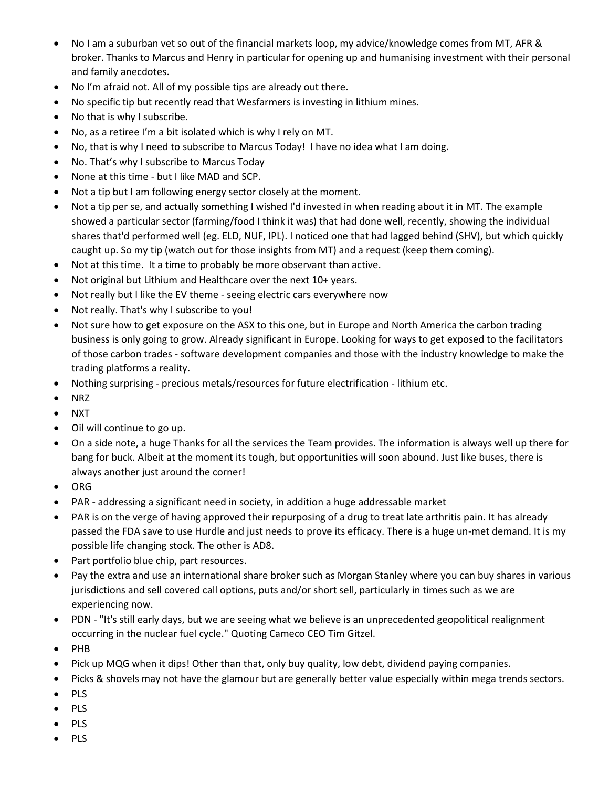- No I am a suburban vet so out of the financial markets loop, my advice/knowledge comes from MT, AFR & broker. Thanks to Marcus and Henry in particular for opening up and humanising investment with their personal and family anecdotes.
- No I'm afraid not. All of my possible tips are already out there.
- No specific tip but recently read that Wesfarmers is investing in lithium mines.
- No that is why I subscribe.
- No, as a retiree I'm a bit isolated which is why I rely on MT.
- No, that is why I need to subscribe to Marcus Today! I have no idea what I am doing.
- No. That's why I subscribe to Marcus Today
- None at this time but I like MAD and SCP.
- Not a tip but I am following energy sector closely at the moment.
- Not a tip per se, and actually something I wished I'd invested in when reading about it in MT. The example showed a particular sector (farming/food I think it was) that had done well, recently, showing the individual shares that'd performed well (eg. ELD, NUF, IPL). I noticed one that had lagged behind (SHV), but which quickly caught up. So my tip (watch out for those insights from MT) and a request (keep them coming).
- Not at this time. It a time to probably be more observant than active.
- Not original but Lithium and Healthcare over the next 10+ years.
- Not really but l like the EV theme seeing electric cars everywhere now
- Not really. That's why I subscribe to you!
- Not sure how to get exposure on the ASX to this one, but in Europe and North America the carbon trading business is only going to grow. Already significant in Europe. Looking for ways to get exposed to the facilitators of those carbon trades - software development companies and those with the industry knowledge to make the trading platforms a reality.
- Nothing surprising precious metals/resources for future electrification lithium etc.
- NRZ
- NXT
- Oil will continue to go up.
- On a side note, a huge Thanks for all the services the Team provides. The information is always well up there for bang for buck. Albeit at the moment its tough, but opportunities will soon abound. Just like buses, there is always another just around the corner!
- ORG
- PAR addressing a significant need in society, in addition a huge addressable market
- PAR is on the verge of having approved their repurposing of a drug to treat late arthritis pain. It has already passed the FDA save to use Hurdle and just needs to prove its efficacy. There is a huge un-met demand. It is my possible life changing stock. The other is AD8.
- Part portfolio blue chip, part resources.
- Pay the extra and use an international share broker such as Morgan Stanley where you can buy shares in various jurisdictions and sell covered call options, puts and/or short sell, particularly in times such as we are experiencing now.
- PDN "It's still early days, but we are seeing what we believe is an unprecedented geopolitical realignment occurring in the nuclear fuel cycle." Quoting Cameco CEO Tim Gitzel.
- PHB
- Pick up MQG when it dips! Other than that, only buy quality, low debt, dividend paying companies.
- Picks & shovels may not have the glamour but are generally better value especially within mega trends sectors.
- PLS
- PLS
- PLS
- PLS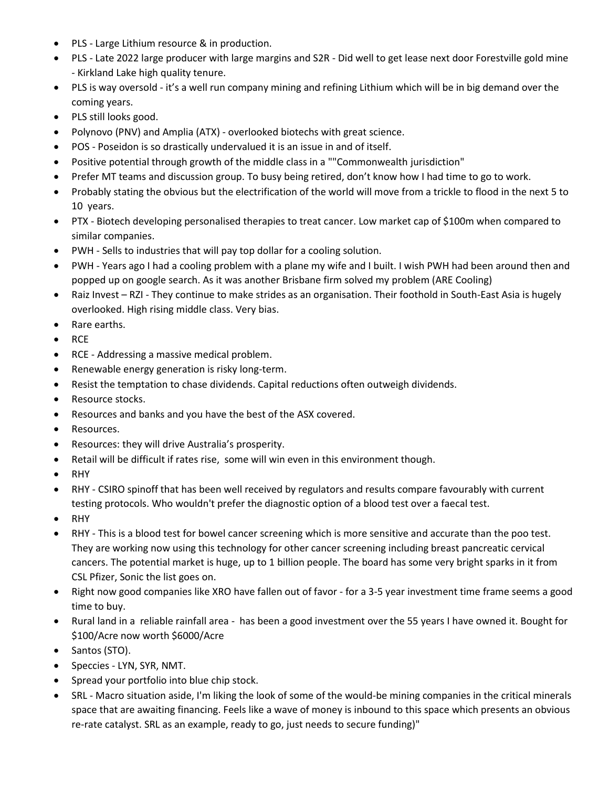- PLS Large Lithium resource & in production.
- PLS Late 2022 large producer with large margins and S2R Did well to get lease next door Forestville gold mine - Kirkland Lake high quality tenure.
- PLS is way oversold it's a well run company mining and refining Lithium which will be in big demand over the coming years.
- PLS still looks good.
- Polynovo (PNV) and Amplia (ATX) overlooked biotechs with great science.
- POS Poseidon is so drastically undervalued it is an issue in and of itself.
- Positive potential through growth of the middle class in a ""Commonwealth jurisdiction"
- Prefer MT teams and discussion group. To busy being retired, don't know how I had time to go to work.
- Probably stating the obvious but the electrification of the world will move from a trickle to flood in the next 5 to 10 years.
- PTX Biotech developing personalised therapies to treat cancer. Low market cap of \$100m when compared to similar companies.
- PWH Sells to industries that will pay top dollar for a cooling solution.
- PWH Years ago I had a cooling problem with a plane my wife and I built. I wish PWH had been around then and popped up on google search. As it was another Brisbane firm solved my problem (ARE Cooling)
- Raiz Invest RZI They continue to make strides as an organisation. Their foothold in South-East Asia is hugely overlooked. High rising middle class. Very bias.
- Rare earths.
- RCE
- RCE Addressing a massive medical problem.
- Renewable energy generation is risky long-term.
- Resist the temptation to chase dividends. Capital reductions often outweigh dividends.
- Resource stocks.
- Resources and banks and you have the best of the ASX covered.
- Resources.
- Resources: they will drive Australia's prosperity.
- Retail will be difficult if rates rise, some will win even in this environment though.
- RHY
- RHY CSIRO spinoff that has been well received by regulators and results compare favourably with current testing protocols. Who wouldn't prefer the diagnostic option of a blood test over a faecal test.
- RHY
- RHY This is a blood test for bowel cancer screening which is more sensitive and accurate than the poo test. They are working now using this technology for other cancer screening including breast pancreatic cervical cancers. The potential market is huge, up to 1 billion people. The board has some very bright sparks in it from CSL Pfizer, Sonic the list goes on.
- Right now good companies like XRO have fallen out of favor for a 3-5 year investment time frame seems a good time to buy.
- Rural land in a reliable rainfall area has been a good investment over the 55 years I have owned it. Bought for \$100/Acre now worth \$6000/Acre
- Santos (STO).
- Speccies LYN, SYR, NMT.
- Spread your portfolio into blue chip stock.
- SRL Macro situation aside, I'm liking the look of some of the would-be mining companies in the critical minerals space that are awaiting financing. Feels like a wave of money is inbound to this space which presents an obvious re-rate catalyst. SRL as an example, ready to go, just needs to secure funding)"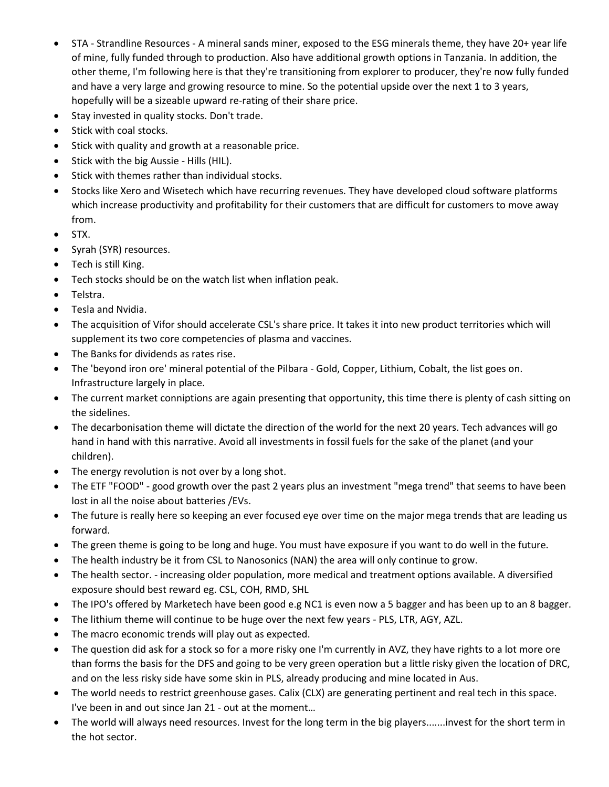- STA Strandline Resources A mineral sands miner, exposed to the ESG minerals theme, they have 20+ year life of mine, fully funded through to production. Also have additional growth options in Tanzania. In addition, the other theme, I'm following here is that they're transitioning from explorer to producer, they're now fully funded and have a very large and growing resource to mine. So the potential upside over the next 1 to 3 years, hopefully will be a sizeable upward re-rating of their share price.
- Stay invested in quality stocks. Don't trade.
- Stick with coal stocks.
- Stick with quality and growth at a reasonable price.
- Stick with the big Aussie Hills (HIL).
- Stick with themes rather than individual stocks.
- Stocks like Xero and Wisetech which have recurring revenues. They have developed cloud software platforms which increase productivity and profitability for their customers that are difficult for customers to move away from.
- STX.
- Syrah (SYR) resources.
- Tech is still King.
- Tech stocks should be on the watch list when inflation peak.
- Telstra.
- Tesla and Nvidia.
- The acquisition of Vifor should accelerate CSL's share price. It takes it into new product territories which will supplement its two core competencies of plasma and vaccines.
- The Banks for dividends as rates rise.
- The 'beyond iron ore' mineral potential of the Pilbara Gold, Copper, Lithium, Cobalt, the list goes on. Infrastructure largely in place.
- The current market conniptions are again presenting that opportunity, this time there is plenty of cash sitting on the sidelines.
- The decarbonisation theme will dictate the direction of the world for the next 20 years. Tech advances will go hand in hand with this narrative. Avoid all investments in fossil fuels for the sake of the planet (and your children).
- The energy revolution is not over by a long shot.
- The ETF "FOOD" good growth over the past 2 years plus an investment "mega trend" that seems to have been lost in all the noise about batteries /EVs.
- The future is really here so keeping an ever focused eye over time on the major mega trends that are leading us forward.
- The green theme is going to be long and huge. You must have exposure if you want to do well in the future.
- The health industry be it from CSL to Nanosonics (NAN) the area will only continue to grow.
- The health sector. increasing older population, more medical and treatment options available. A diversified exposure should best reward eg. CSL, COH, RMD, SHL
- The IPO's offered by Marketech have been good e.g NC1 is even now a 5 bagger and has been up to an 8 bagger.
- The lithium theme will continue to be huge over the next few years PLS, LTR, AGY, AZL.
- The macro economic trends will play out as expected.
- The question did ask for a stock so for a more risky one I'm currently in AVZ, they have rights to a lot more ore than forms the basis for the DFS and going to be very green operation but a little risky given the location of DRC, and on the less risky side have some skin in PLS, already producing and mine located in Aus.
- The world needs to restrict greenhouse gases. Calix (CLX) are generating pertinent and real tech in this space. I've been in and out since Jan 21 - out at the moment…
- The world will always need resources. Invest for the long term in the big players.......invest for the short term in the hot sector.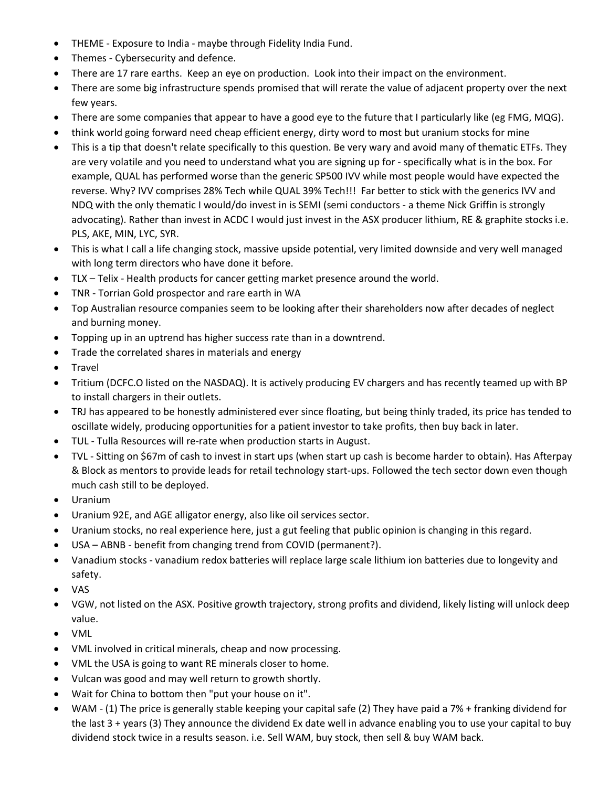- THEME Exposure to India maybe through Fidelity India Fund.
- Themes Cybersecurity and defence.
- There are 17 rare earths. Keep an eye on production. Look into their impact on the environment.
- There are some big infrastructure spends promised that will rerate the value of adjacent property over the next few years.
- There are some companies that appear to have a good eye to the future that I particularly like (eg FMG, MQG).
- think world going forward need cheap efficient energy, dirty word to most but uranium stocks for mine
- This is a tip that doesn't relate specifically to this question. Be very wary and avoid many of thematic ETFs. They are very volatile and you need to understand what you are signing up for - specifically what is in the box. For example, QUAL has performed worse than the generic SP500 IVV while most people would have expected the reverse. Why? IVV comprises 28% Tech while QUAL 39% Tech!!! Far better to stick with the generics IVV and NDQ with the only thematic I would/do invest in is SEMI (semi conductors - a theme Nick Griffin is strongly advocating). Rather than invest in ACDC I would just invest in the ASX producer lithium, RE & graphite stocks i.e. PLS, AKE, MIN, LYC, SYR.
- This is what I call a life changing stock, massive upside potential, very limited downside and very well managed with long term directors who have done it before.
- TLX Telix Health products for cancer getting market presence around the world.
- TNR Torrian Gold prospector and rare earth in WA
- Top Australian resource companies seem to be looking after their shareholders now after decades of neglect and burning money.
- Topping up in an uptrend has higher success rate than in a downtrend.
- Trade the correlated shares in materials and energy
- **Travel**
- Tritium (DCFC.O listed on the NASDAQ). It is actively producing EV chargers and has recently teamed up with BP to install chargers in their outlets.
- TRJ has appeared to be honestly administered ever since floating, but being thinly traded, its price has tended to oscillate widely, producing opportunities for a patient investor to take profits, then buy back in later.
- TUL Tulla Resources will re-rate when production starts in August.
- TVL Sitting on \$67m of cash to invest in start ups (when start up cash is become harder to obtain). Has Afterpay & Block as mentors to provide leads for retail technology start-ups. Followed the tech sector down even though much cash still to be deployed.
- Uranium
- Uranium 92E, and AGE alligator energy, also like oil services sector.
- Uranium stocks, no real experience here, just a gut feeling that public opinion is changing in this regard.
- USA ABNB benefit from changing trend from COVID (permanent?).
- Vanadium stocks vanadium redox batteries will replace large scale lithium ion batteries due to longevity and safety.
- VAS
- VGW, not listed on the ASX. Positive growth trajectory, strong profits and dividend, likely listing will unlock deep value.
- VML
- VML involved in critical minerals, cheap and now processing.
- VML the USA is going to want RE minerals closer to home.
- Vulcan was good and may well return to growth shortly.
- Wait for China to bottom then "put your house on it".
- WAM (1) The price is generally stable keeping your capital safe (2) They have paid a 7% + franking dividend for the last 3 + years (3) They announce the dividend Ex date well in advance enabling you to use your capital to buy dividend stock twice in a results season. i.e. Sell WAM, buy stock, then sell & buy WAM back.